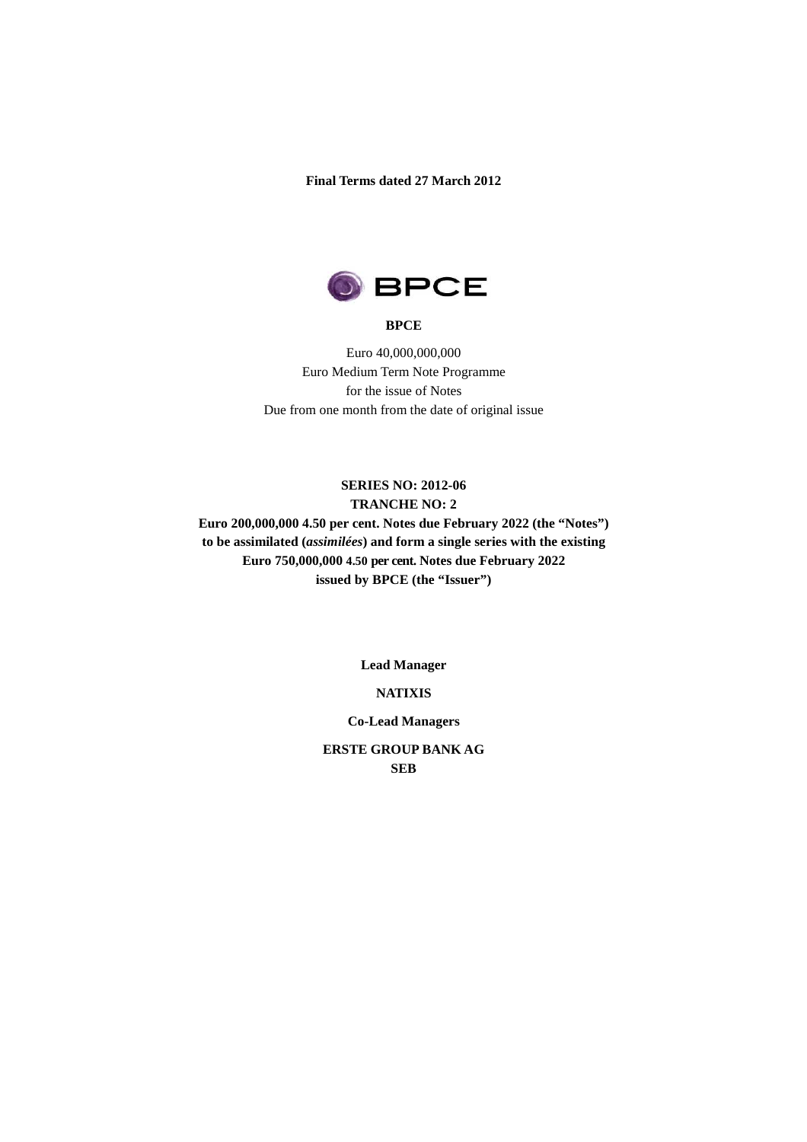**Final Terms dated 27 March 2012** 



#### **BPCE**

Euro 40,000,000,000 Euro Medium Term Note Programme for the issue of Notes Due from one month from the date of original issue

## **SERIES NO: 2012-06 TRANCHE NO: 2**

**Euro 200,000,000 4.50 per cent. Notes due February 2022 (the "Notes") to be assimilated (***assimilées***) and form a single series with the existing Euro 750,000,000 4.50 per cent. Notes due February 2022 issued by BPCE (the "Issuer")**

**Lead Manager** 

## **NATIXIS**

**Co-Lead Managers** 

**ERSTE GROUP BANK AG SEB**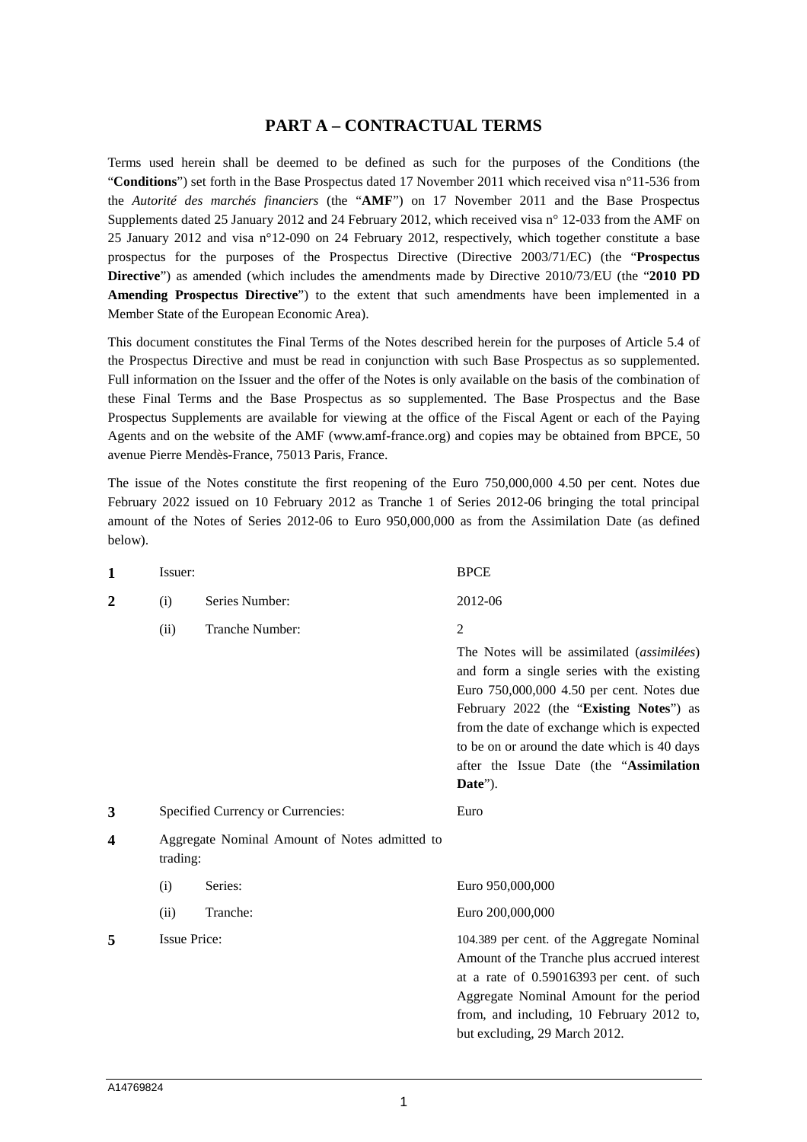## **PART A – CONTRACTUAL TERMS**

Terms used herein shall be deemed to be defined as such for the purposes of the Conditions (the "**Conditions**") set forth in the Base Prospectus dated 17 November 2011 which received visa n°11-536 from the *Autorité des marchés financiers* (the "**AMF**") on 17 November 2011 and the Base Prospectus Supplements dated 25 January 2012 and 24 February 2012, which received visa n° 12-033 from the AMF on 25 January 2012 and visa n°12-090 on 24 February 2012, respectively, which together constitute a base prospectus for the purposes of the Prospectus Directive (Directive 2003/71/EC) (the "**Prospectus Directive**") as amended (which includes the amendments made by Directive 2010/73/EU (the "**2010 PD Amending Prospectus Directive**") to the extent that such amendments have been implemented in a Member State of the European Economic Area).

This document constitutes the Final Terms of the Notes described herein for the purposes of Article 5.4 of the Prospectus Directive and must be read in conjunction with such Base Prospectus as so supplemented. Full information on the Issuer and the offer of the Notes is only available on the basis of the combination of these Final Terms and the Base Prospectus as so supplemented. The Base Prospectus and the Base Prospectus Supplements are available for viewing at the office of the Fiscal Agent or each of the Paying Agents and on the website of the AMF (www.amf-france.org) and copies may be obtained from BPCE, 50 avenue Pierre Mendès-France, 75013 Paris, France.

The issue of the Notes constitute the first reopening of the Euro 750,000,000 4.50 per cent. Notes due February 2022 issued on 10 February 2012 as Tranche 1 of Series 2012-06 bringing the total principal amount of the Notes of Series 2012-06 to Euro 950,000,000 as from the Assimilation Date (as defined below).

| $\mathbf{1}$            | Issuer:                                                   |                 | <b>BPCE</b>                                                                                                                                                                                                                                                                                                                                             |  |
|-------------------------|-----------------------------------------------------------|-----------------|---------------------------------------------------------------------------------------------------------------------------------------------------------------------------------------------------------------------------------------------------------------------------------------------------------------------------------------------------------|--|
| 2                       | (i)                                                       | Series Number:  | 2012-06                                                                                                                                                                                                                                                                                                                                                 |  |
|                         | (ii)                                                      | Tranche Number: | $\mathfrak{2}$<br>The Notes will be assimilated (assimilées)<br>and form a single series with the existing<br>Euro 750,000,000 4.50 per cent. Notes due<br>February 2022 (the "Existing Notes") as<br>from the date of exchange which is expected<br>to be on or around the date which is 40 days<br>after the Issue Date (the "Assimilation<br>Date"). |  |
| 3                       | Specified Currency or Currencies:                         |                 | Euro                                                                                                                                                                                                                                                                                                                                                    |  |
| $\overline{\mathbf{4}}$ | Aggregate Nominal Amount of Notes admitted to<br>trading: |                 |                                                                                                                                                                                                                                                                                                                                                         |  |
|                         | (i)                                                       | Series:         | Euro 950,000,000                                                                                                                                                                                                                                                                                                                                        |  |
|                         | (ii)                                                      | Tranche:        | Euro 200,000,000                                                                                                                                                                                                                                                                                                                                        |  |
| 5                       | <b>Issue Price:</b>                                       |                 | 104.389 per cent. of the Aggregate Nominal<br>Amount of the Tranche plus accrued interest<br>at a rate of 0.59016393 per cent. of such<br>Aggregate Nominal Amount for the period<br>from, and including, 10 February 2012 to,<br>but excluding, 29 March 2012.                                                                                         |  |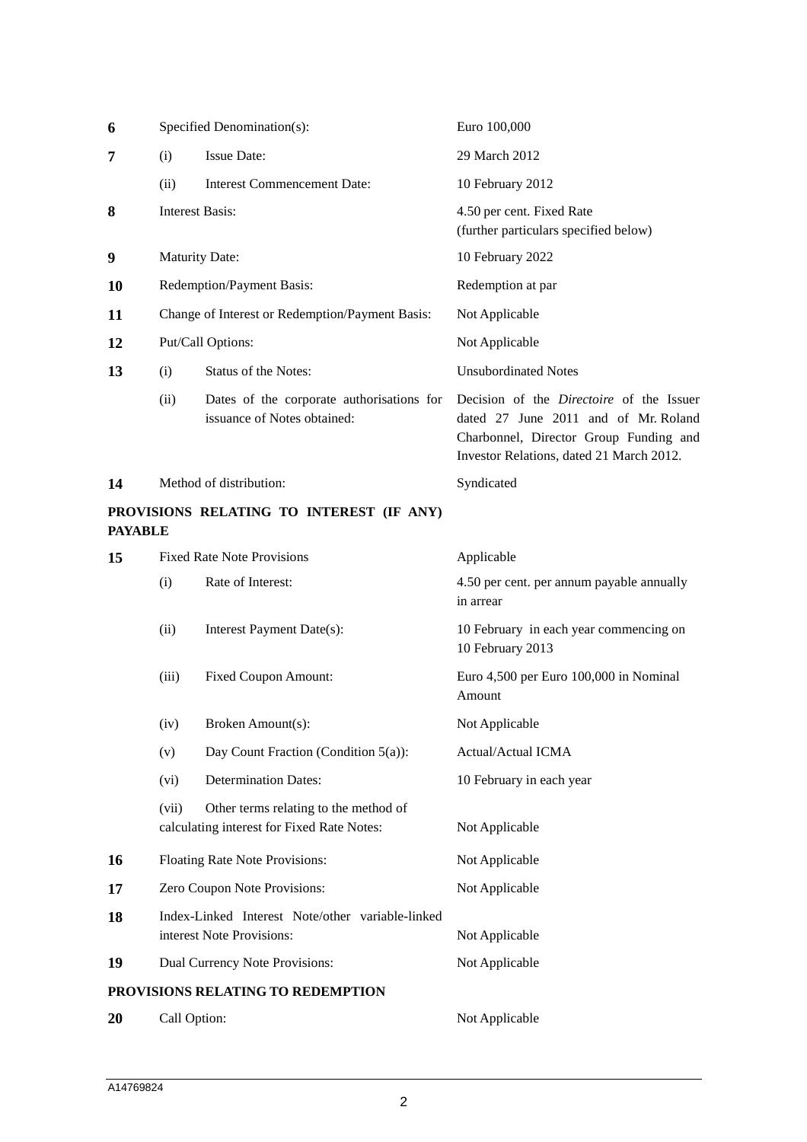| 6              | Specified Denomination(s):                      |                                                                                     | Euro 100,000                                                                                                                                                                  |
|----------------|-------------------------------------------------|-------------------------------------------------------------------------------------|-------------------------------------------------------------------------------------------------------------------------------------------------------------------------------|
| 7              | (i)                                             | <b>Issue Date:</b>                                                                  | 29 March 2012                                                                                                                                                                 |
|                | (ii)                                            | <b>Interest Commencement Date:</b>                                                  | 10 February 2012                                                                                                                                                              |
| 8              | <b>Interest Basis:</b>                          |                                                                                     | 4.50 per cent. Fixed Rate<br>(further particulars specified below)                                                                                                            |
| 9              | <b>Maturity Date:</b>                           |                                                                                     | 10 February 2022                                                                                                                                                              |
| 10             | Redemption/Payment Basis:                       |                                                                                     | Redemption at par                                                                                                                                                             |
| 11             | Change of Interest or Redemption/Payment Basis: |                                                                                     | Not Applicable                                                                                                                                                                |
| 12             | Put/Call Options:                               |                                                                                     | Not Applicable                                                                                                                                                                |
| 13             | (i)                                             | Status of the Notes:                                                                | <b>Unsubordinated Notes</b>                                                                                                                                                   |
|                | (ii)                                            | Dates of the corporate authorisations for<br>issuance of Notes obtained:            | Decision of the <i>Directoire</i> of the Issuer<br>dated 27 June 2011 and of Mr. Roland<br>Charbonnel, Director Group Funding and<br>Investor Relations, dated 21 March 2012. |
| 14             |                                                 | Method of distribution:                                                             | Syndicated                                                                                                                                                                    |
| <b>PAYABLE</b> |                                                 | PROVISIONS RELATING TO INTEREST (IF ANY)                                            |                                                                                                                                                                               |
| 15             |                                                 | <b>Fixed Rate Note Provisions</b>                                                   | Applicable                                                                                                                                                                    |
|                | (i)                                             | Rate of Interest:                                                                   | 4.50 per cent. per annum payable annually<br>in arrear                                                                                                                        |
|                | (ii)                                            | Interest Payment Date(s):                                                           | 10 February in each year commencing on<br>10 February 2013                                                                                                                    |
|                | (iii)                                           | <b>Fixed Coupon Amount:</b>                                                         | Euro 4,500 per Euro 100,000 in Nominal<br>Amount                                                                                                                              |
|                | (iv)                                            | Broken Amount(s):                                                                   | Not Applicable                                                                                                                                                                |
|                | (v)                                             | Day Count Fraction (Condition $5(a)$ ):                                             | Actual/Actual ICMA                                                                                                                                                            |
|                | (vi)                                            | <b>Determination Dates:</b>                                                         | 10 February in each year                                                                                                                                                      |
|                | (vii)                                           | Other terms relating to the method of<br>calculating interest for Fixed Rate Notes: | Not Applicable                                                                                                                                                                |
| 16             |                                                 | Floating Rate Note Provisions:                                                      | Not Applicable                                                                                                                                                                |
| 17             |                                                 | Zero Coupon Note Provisions:                                                        | Not Applicable                                                                                                                                                                |
| 18             |                                                 | Index-Linked Interest Note/other variable-linked<br>interest Note Provisions:       | Not Applicable                                                                                                                                                                |
| 19             |                                                 | Dual Currency Note Provisions:                                                      | Not Applicable                                                                                                                                                                |
|                |                                                 | PROVISIONS RELATING TO REDEMPTION                                                   |                                                                                                                                                                               |
| 20             | Call Option:                                    |                                                                                     | Not Applicable                                                                                                                                                                |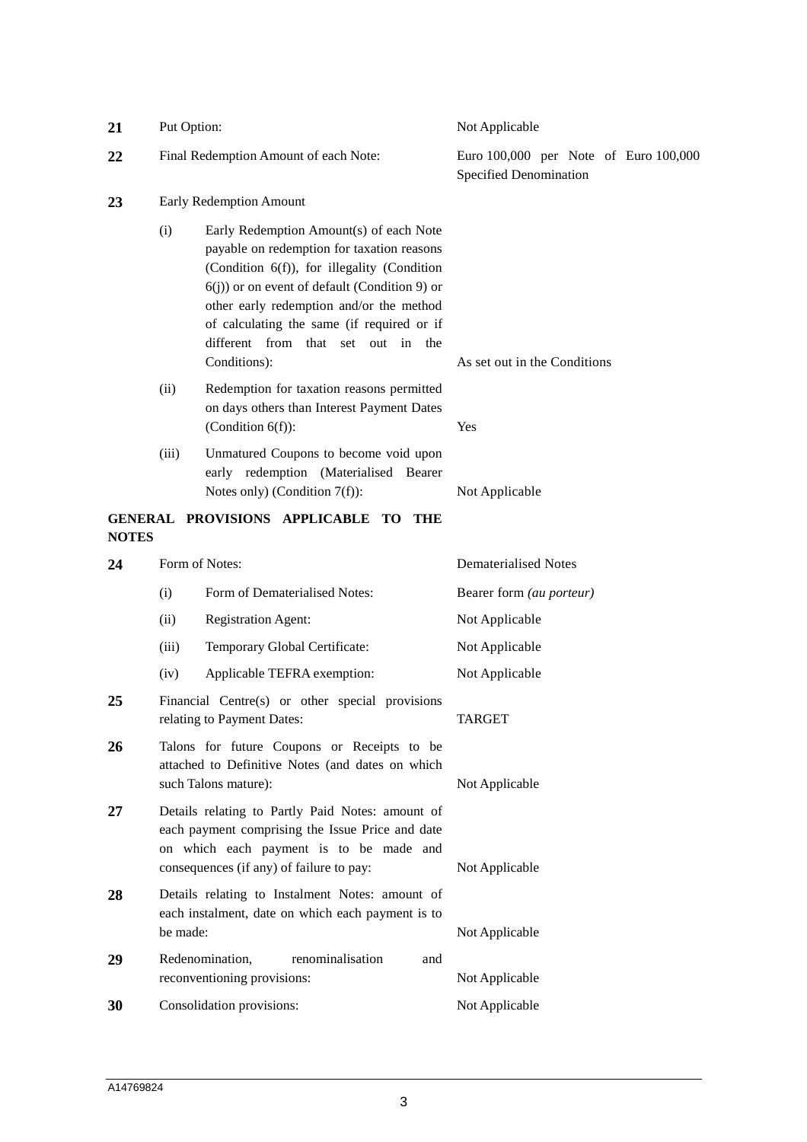| 21           | Put Option:<br>Final Redemption Amount of each Note:                                                                                                                                        |                                                                                                                                                                                                                                                                                                                                          | Not Applicable<br>Euro 100,000 per Note of Euro 100,000<br>Specified Denomination |  |
|--------------|---------------------------------------------------------------------------------------------------------------------------------------------------------------------------------------------|------------------------------------------------------------------------------------------------------------------------------------------------------------------------------------------------------------------------------------------------------------------------------------------------------------------------------------------|-----------------------------------------------------------------------------------|--|
| 22           |                                                                                                                                                                                             |                                                                                                                                                                                                                                                                                                                                          |                                                                                   |  |
| 23           | Early Redemption Amount                                                                                                                                                                     |                                                                                                                                                                                                                                                                                                                                          |                                                                                   |  |
|              | (i)                                                                                                                                                                                         | Early Redemption Amount(s) of each Note<br>payable on redemption for taxation reasons<br>(Condition 6(f)), for illegality (Condition<br>$6(j)$ ) or on event of default (Condition 9) or<br>other early redemption and/or the method<br>of calculating the same (if required or if<br>different from that set out in the<br>Conditions): | As set out in the Conditions                                                      |  |
|              | (ii)                                                                                                                                                                                        | Redemption for taxation reasons permitted<br>on days others than Interest Payment Dates<br>(Condition $6(f)$ ):                                                                                                                                                                                                                          | Yes                                                                               |  |
|              | (iii)                                                                                                                                                                                       | Unmatured Coupons to become void upon<br>early redemption (Materialised Bearer<br>Notes only) (Condition $7(f)$ ):                                                                                                                                                                                                                       | Not Applicable                                                                    |  |
| <b>NOTES</b> |                                                                                                                                                                                             | GENERAL PROVISIONS APPLICABLE TO<br>THE                                                                                                                                                                                                                                                                                                  |                                                                                   |  |
| 24           |                                                                                                                                                                                             | Form of Notes:                                                                                                                                                                                                                                                                                                                           | <b>Dematerialised Notes</b>                                                       |  |
|              | (i)                                                                                                                                                                                         | Form of Dematerialised Notes:                                                                                                                                                                                                                                                                                                            | Bearer form (au porteur)                                                          |  |
|              | (ii)                                                                                                                                                                                        | <b>Registration Agent:</b>                                                                                                                                                                                                                                                                                                               | Not Applicable                                                                    |  |
|              | (iii)                                                                                                                                                                                       | Temporary Global Certificate:                                                                                                                                                                                                                                                                                                            | Not Applicable                                                                    |  |
|              | (iv)                                                                                                                                                                                        | Applicable TEFRA exemption:                                                                                                                                                                                                                                                                                                              | Not Applicable                                                                    |  |
| 25           | Financial Centre(s) or other special provisions<br>relating to Payment Dates:                                                                                                               |                                                                                                                                                                                                                                                                                                                                          | <b>TARGET</b>                                                                     |  |
| 26           | Talons for future Coupons or Receipts to be<br>attached to Definitive Notes (and dates on which<br>such Talons mature):                                                                     |                                                                                                                                                                                                                                                                                                                                          | Not Applicable                                                                    |  |
| 27           | Details relating to Partly Paid Notes: amount of<br>each payment comprising the Issue Price and date<br>on which each payment is to be made and<br>consequences (if any) of failure to pay: |                                                                                                                                                                                                                                                                                                                                          | Not Applicable                                                                    |  |
| 28           | be made:                                                                                                                                                                                    | Details relating to Instalment Notes: amount of<br>each instalment, date on which each payment is to                                                                                                                                                                                                                                     | Not Applicable                                                                    |  |
| 29           |                                                                                                                                                                                             | Redenomination,<br>renominalisation<br>and                                                                                                                                                                                                                                                                                               |                                                                                   |  |
|              |                                                                                                                                                                                             | reconventioning provisions:                                                                                                                                                                                                                                                                                                              | Not Applicable                                                                    |  |
| 30           |                                                                                                                                                                                             | Consolidation provisions:                                                                                                                                                                                                                                                                                                                | Not Applicable                                                                    |  |
|              |                                                                                                                                                                                             |                                                                                                                                                                                                                                                                                                                                          |                                                                                   |  |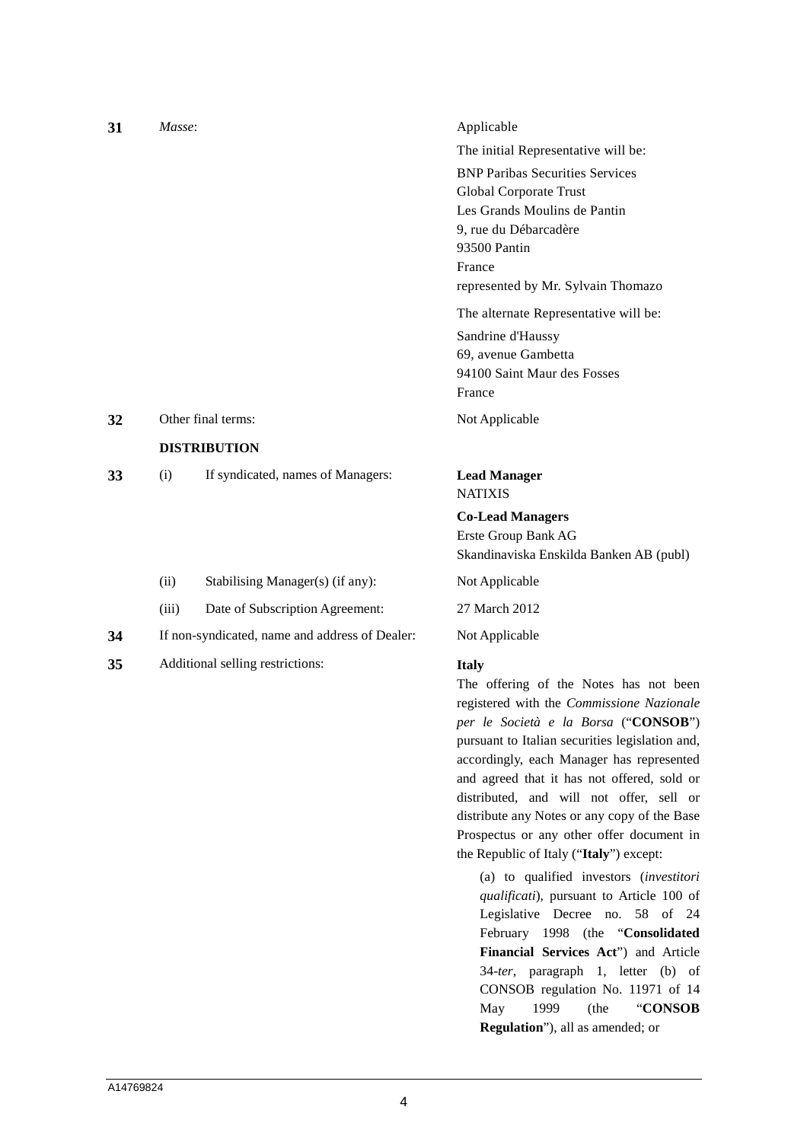| 31 | Masse: |                                                | Applicable                              |
|----|--------|------------------------------------------------|-----------------------------------------|
|    |        |                                                | The initial Representative will be:     |
|    |        |                                                | <b>BNP Paribas Securities Services</b>  |
|    |        |                                                | <b>Global Corporate Trust</b>           |
|    |        |                                                | Les Grands Moulins de Pantin            |
|    |        |                                                | 9, rue du Débarcadère                   |
|    |        |                                                | 93500 Pantin                            |
|    |        |                                                | France                                  |
|    |        |                                                | represented by Mr. Sylvain Thomazo      |
|    |        |                                                | The alternate Representative will be:   |
|    |        |                                                | Sandrine d'Haussy                       |
|    |        |                                                | 69, avenue Gambetta                     |
|    |        |                                                | 94100 Saint Maur des Fosses             |
|    |        |                                                | France                                  |
| 32 |        | Other final terms:                             | Not Applicable                          |
|    |        | <b>DISTRIBUTION</b>                            |                                         |
| 33 | (i)    | If syndicated, names of Managers:              | <b>Lead Manager</b>                     |
|    |        |                                                | <b>NATIXIS</b>                          |
|    |        |                                                | <b>Co-Lead Managers</b>                 |
|    |        |                                                | Erste Group Bank AG                     |
|    |        |                                                | Skandinaviska Enskilda Banken AB (publ) |
|    | (ii)   | Stabilising Manager(s) (if any):               | Not Applicable                          |
|    | (iii)  | Date of Subscription Agreement:                | 27 March 2012                           |
| 34 |        | If non-syndicated, name and address of Dealer: | Not Applicable                          |
| 35 |        | Additional selling restrictions:               | <b>Italy</b>                            |

The offering of the Notes has not been registered with the *Commissione Nazionale per le Società e la Borsa* ("**CONSOB**") pursuant to Italian securities legislation and, accordingly, each Manager has represented and agreed that it has not offered, sold or distributed, and will not offer, sell or distribute any Notes or any copy of the Base Prospectus or any other offer document in the Republic of Italy ("**Italy**") except:

(a) to qualified investors (*investitori qualificati*), pursuant to Article 100 of Legislative Decree no. 58 of 24 February 1998 (the "**Consolidated Financial Services Act**") and Article 34-*ter*, paragraph 1, letter (b) of CONSOB regulation No. 11971 of 14 May 1999 (the "**CONSOB Regulation**"), all as amended; or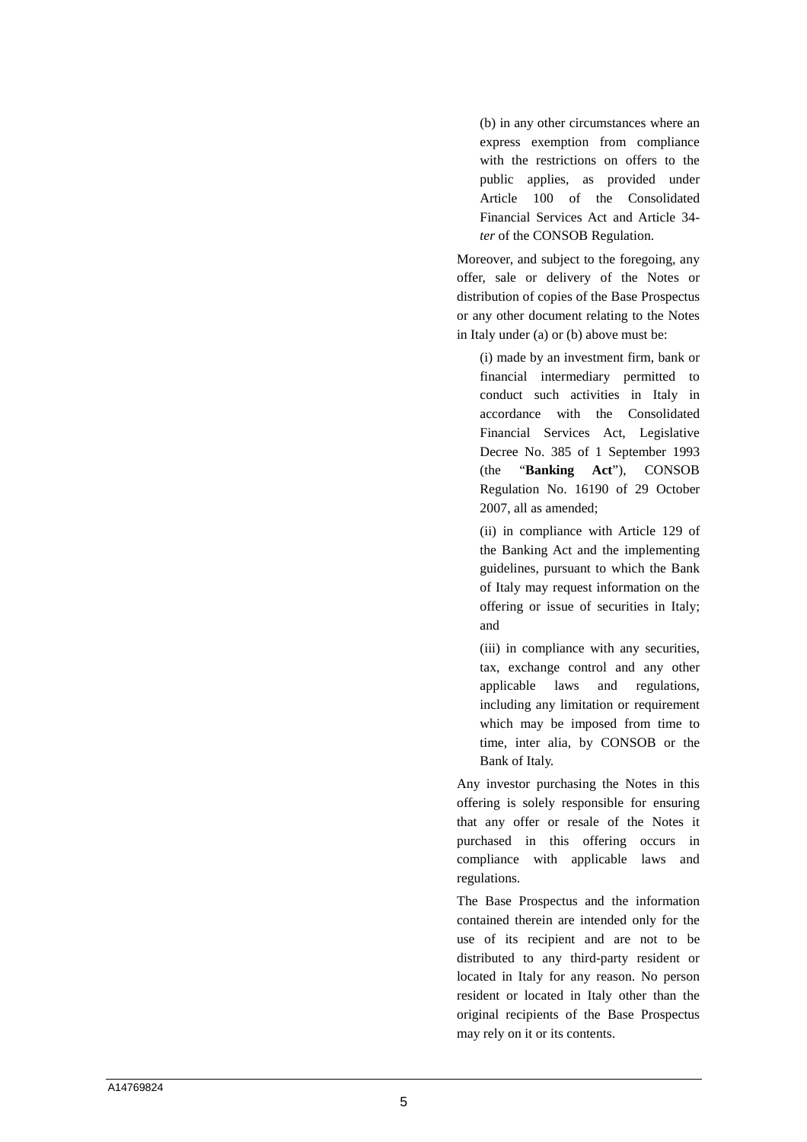(b) in any other circumstances where an express exemption from compliance with the restrictions on offers to the public applies, as provided under Article 100 of the Consolidated Financial Services Act and Article 34 *ter* of the CONSOB Regulation.

Moreover, and subject to the foregoing, any offer, sale or delivery of the Notes or distribution of copies of the Base Prospectus or any other document relating to the Notes in Italy under (a) or (b) above must be:

(i) made by an investment firm, bank or financial intermediary permitted to conduct such activities in Italy in accordance with the Consolidated Financial Services Act, Legislative Decree No. 385 of 1 September 1993 (the "**Banking Act**"), CONSOB Regulation No. 16190 of 29 October 2007, all as amended;

(ii) in compliance with Article 129 of the Banking Act and the implementing guidelines, pursuant to which the Bank of Italy may request information on the offering or issue of securities in Italy; and

(iii) in compliance with any securities, tax, exchange control and any other applicable laws and regulations, including any limitation or requirement which may be imposed from time to time, inter alia, by CONSOB or the Bank of Italy.

Any investor purchasing the Notes in this offering is solely responsible for ensuring that any offer or resale of the Notes it purchased in this offering occurs in compliance with applicable laws and regulations.

The Base Prospectus and the information contained therein are intended only for the use of its recipient and are not to be distributed to any third-party resident or located in Italy for any reason. No person resident or located in Italy other than the original recipients of the Base Prospectus may rely on it or its contents.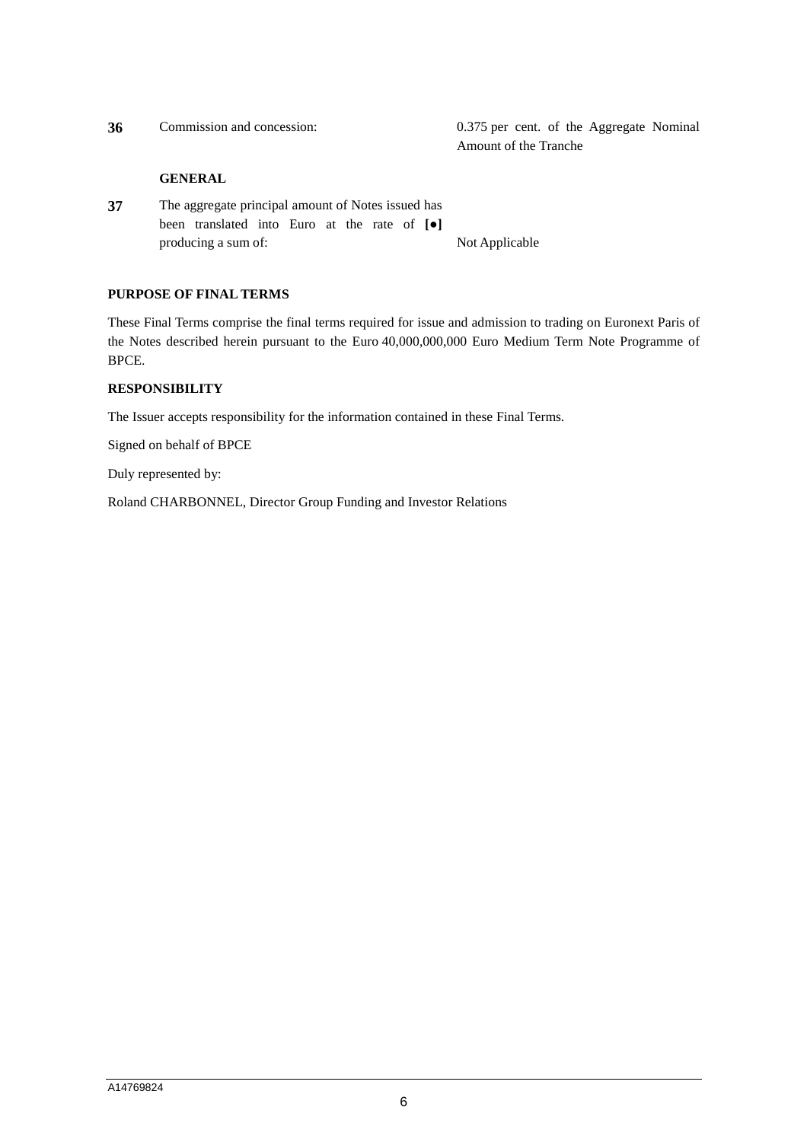| 36 | Commission and concession:                                                                                             | 0.375 per cent. of the Aggregate Nominal<br>Amount of the Tranche |
|----|------------------------------------------------------------------------------------------------------------------------|-------------------------------------------------------------------|
|    | <b>GENERAL</b>                                                                                                         |                                                                   |
| 37 | The aggregate principal amount of Notes issued has<br>been translated into Euro at the rate of $\lceil \bullet \rceil$ |                                                                   |

## **PURPOSE OF FINAL TERMS**

These Final Terms comprise the final terms required for issue and admission to trading on Euronext Paris of the Notes described herein pursuant to the Euro 40,000,000,000 Euro Medium Term Note Programme of BPCE.

#### **RESPONSIBILITY**

The Issuer accepts responsibility for the information contained in these Final Terms.

producing a sum of: Not Applicable

Signed on behalf of BPCE

Duly represented by:

Roland CHARBONNEL, Director Group Funding and Investor Relations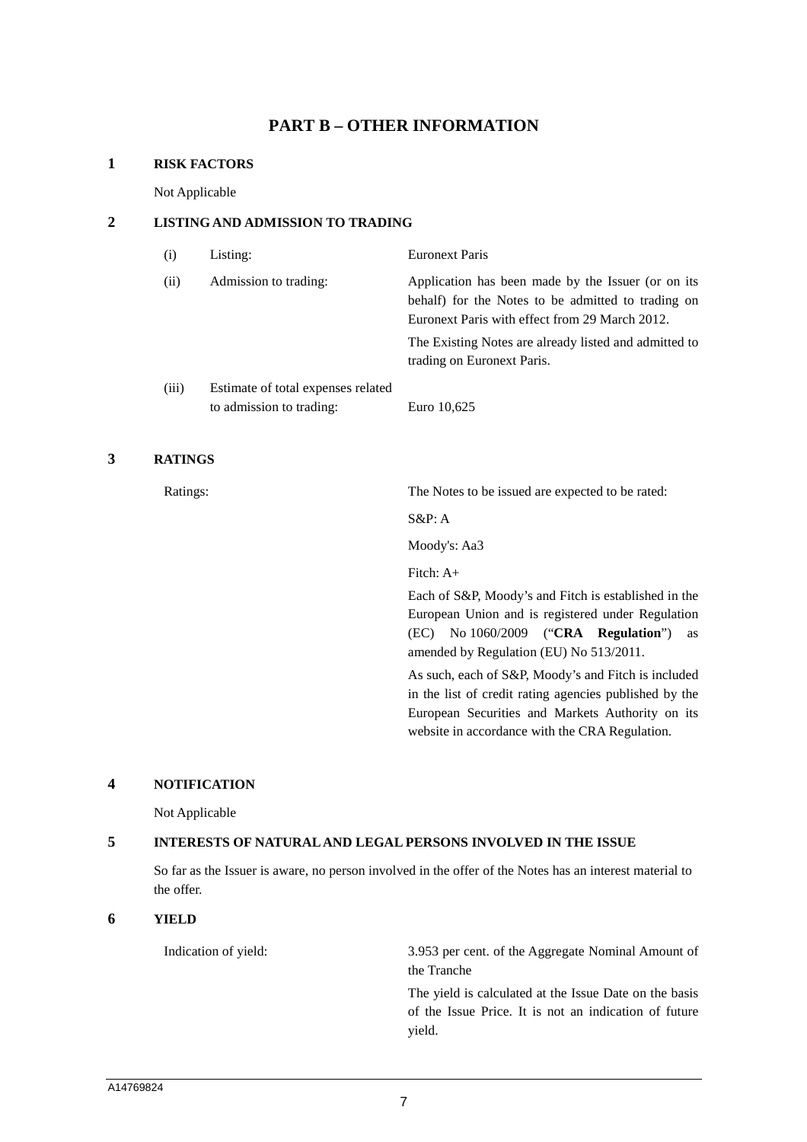## **PART B – OTHER INFORMATION**

#### **1 RISK FACTORS**

Not Applicable

## **2 LISTING AND ADMISSION TO TRADING**

| (i)   | Listing:                                                       | <b>Euronext Paris</b>                                                                                                                                      |
|-------|----------------------------------------------------------------|------------------------------------------------------------------------------------------------------------------------------------------------------------|
| (ii)  | Admission to trading:                                          | Application has been made by the Issuer (or on its<br>behalf) for the Notes to be admitted to trading on<br>Euronext Paris with effect from 29 March 2012. |
|       |                                                                | The Existing Notes are already listed and admitted to<br>trading on Euronext Paris.                                                                        |
| (iii) | Estimate of total expenses related<br>to admission to trading: | Euro 10,625                                                                                                                                                |

## **3 RATINGS**

Ratings: The Notes to be issued are expected to be rated:

S&P: A

Moody's: Aa3

Fitch: A+

Each of S&P, Moody's and Fitch is established in the European Union and is registered under Regulation (EC) No 1060/2009 ("**CRA Regulation**") as amended by Regulation (EU) No 513/2011.

As such, each of S&P, Moody's and Fitch is included in the list of credit rating agencies published by the European Securities and Markets Authority on its website in accordance with the CRA Regulation.

#### **4 NOTIFICATION**

Not Applicable

## **5 INTERESTS OF NATURAL AND LEGAL PERSONS INVOLVED IN THE ISSUE**

So far as the Issuer is aware, no person involved in the offer of the Notes has an interest material to the offer.

#### **6 YIELD**

Indication of yield: 3.953 per cent. of the Aggregate Nominal Amount of the Tranche

> The yield is calculated at the Issue Date on the basis of the Issue Price. It is not an indication of future yield.